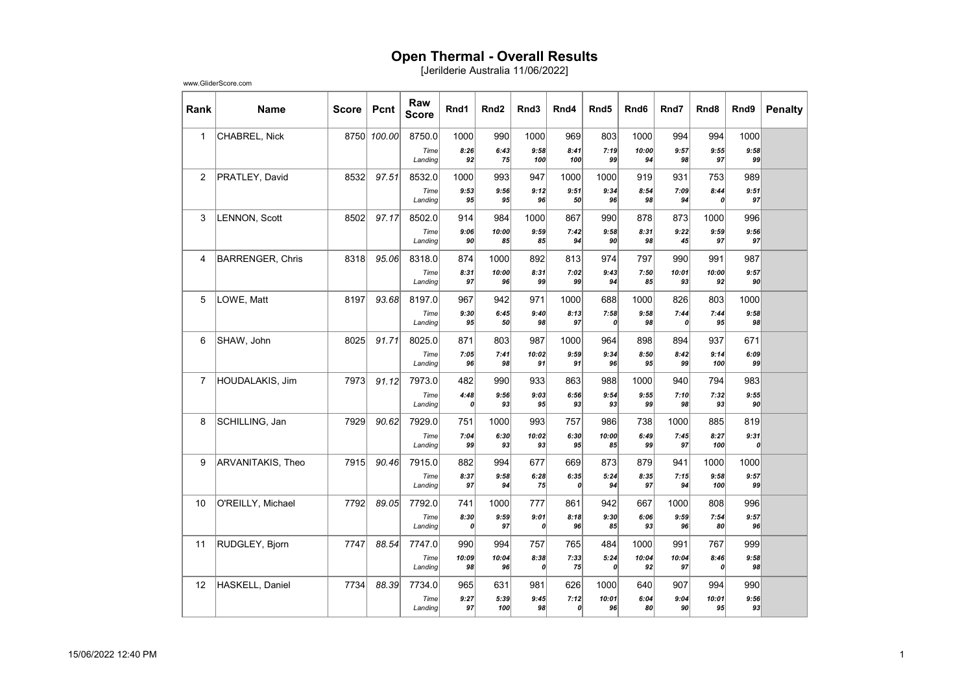## Open Thermal - Overall Results

[Jerilderie Australia 11/06/2022]

| Rank           | <b>Name</b>             | <b>Score</b> | Pcnt        | Raw<br><b>Score</b> | Rnd1        | Rnd <sub>2</sub> | Rnd3        | Rnd4        | Rnd <sub>5</sub> | Rnd6        | Rnd7        | Rnd8        | Rnd9       | <b>Penalty</b> |
|----------------|-------------------------|--------------|-------------|---------------------|-------------|------------------|-------------|-------------|------------------|-------------|-------------|-------------|------------|----------------|
| $\mathbf{1}$   | CHABREL, Nick           |              | 8750 100.00 | 8750.0              | 1000        | 990              | 1000        | 969         | 803              | 1000        | 994         | 994         | 1000       |                |
|                |                         |              |             | Time<br>Landing     | 8:26<br>92  | 6:43<br>75       | 9:58<br>100 | 8:41<br>100 | 7:19<br>99       | 10:00<br>94 | 9:57<br>98  | 9:55<br>97  | 9:58<br>99 |                |
| $\overline{2}$ | PRATLEY, David          | 8532         | 97.51       | 8532.0              | 1000        | 993              | 947         | 1000        | 1000             | 919         | 931         | 753         | 989        |                |
|                |                         |              |             | Time                | 9:53        | 9:56             | 9:12        | 9:51        | 9:34             | 8:54        | 7:09        | 8:44        | 9:51       |                |
|                |                         |              |             | Landing             | 95          | 95               | 96          | 50          | 96               | 98          | 94          | 0           | 97         |                |
| 3              | <b>LENNON, Scott</b>    | 8502         | 97.17       | 8502.0              | 914         | 984              | 1000        | 867         | 990              | 878         | 873         | 1000        | 996        |                |
|                |                         |              |             | Time<br>Landing     | 9:06<br>90  | 10:00<br>85      | 9:59<br>85  | 7:42<br>94  | 9:58<br>90       | 8:31<br>98  | 9:22<br>45  | 9:59<br>97  | 9:56<br>97 |                |
| $\overline{4}$ | <b>BARRENGER, Chris</b> | 8318         | 95.06       | 8318.0              | 874         | 1000             | 892         | 813         | 974              | 797         | 990         | 991         | 987        |                |
|                |                         |              |             | Time<br>Landing     | 8:31<br>97  | 10:00<br>96      | 8:31<br>99  | 7:02<br>99  | 9:43<br>94       | 7:50<br>85  | 10:01<br>93 | 10:00<br>92 | 9:57<br>90 |                |
| 5              | LOWE, Matt              | 8197         | 93.68       | 8197.0              | 967         | 942              | 971         | 1000        | 688              | 1000        | 826         | 803         | 1000       |                |
|                |                         |              |             | Time<br>Landing     | 9:30<br>95  | 6:45<br>50       | 9:40<br>98  | 8:13<br>97  | 7:58<br>0        | 9:58<br>98  | 7:44<br>0   | 7:44<br>95  | 9:58<br>98 |                |
| 6              | SHAW, John              | 8025         | 91.71       | 8025.0              | 871         | 803              | 987         | 1000        | 964              | 898         | 894         | 937         | 671        |                |
|                |                         |              |             | Time<br>Landing     | 7:05<br>96  | 7:41<br>98       | 10:02<br>91 | 9:59<br>91  | 9:34<br>96       | 8:50<br>95  | 8:42<br>99  | 9:14<br>100 | 6:09<br>99 |                |
| $\overline{7}$ | HOUDALAKIS, Jim         | 7973         | 91.12       | 7973.0              | 482         | 990              | 933         | 863         | 988              | 1000        | 940         | 794         | 983        |                |
|                |                         |              |             | Time<br>Landing     | 4:48<br>0   | 9:56<br>93       | 9:03<br>95  | 6:56<br>93  | 9:54<br>93       | 9:55<br>99  | 7:10<br>98  | 7:32<br>93  | 9:55<br>90 |                |
| 8              | SCHILLING, Jan          | 7929         | 90.62       | 7929.0              | 751         | 1000             | 993         | 757         | 986              | 738         | 1000        | 885         | 819        |                |
|                |                         |              |             | Time<br>Landing     | 7:04<br>99  | 6:30<br>93       | 10:02<br>93 | 6:30<br>95  | 10:00<br>85      | 6:49<br>99  | 7:45<br>97  | 8:27<br>100 | 9:31<br>0  |                |
| 9              | ARVANITAKIS, Theo       | 7915         | 90.46       | 7915.0              | 882         | 994              | 677         | 669         | 873              | 879         | 941         | 1000        | 1000       |                |
|                |                         |              |             | Time<br>Landing     | 8:37<br>97  | 9:58<br>94       | 6:28<br>75  | 6:35<br>0   | 5:24<br>94       | 8:35<br>97  | 7:15<br>94  | 9:58<br>100 | 9:57<br>99 |                |
| 10             | O'REILLY, Michael       | 7792         | 89.05       | 7792.0              | 741         | 1000             | 777         | 861         | 942              | 667         | 1000        | 808         | 996        |                |
|                |                         |              |             | Time<br>Landing     | 8:30<br>0   | 9:59<br>97       | 9:01<br>0   | 8:18<br>96  | 9:30<br>85       | 6:06<br>93  | 9:59<br>96  | 7:54<br>80  | 9:57<br>96 |                |
| 11             | RUDGLEY, Bjorn          | 7747         | 88.54       | 7747.0              | 990         | 994              | 757         | 765         | 484              | 1000        | 991         | 767         | 999        |                |
|                |                         |              |             | Time<br>Landing     | 10:09<br>98 | 10:04<br>96      | 8:38<br>0   | 7:33<br>75  | 5:24<br>0        | 10:04<br>92 | 10:04<br>97 | 8:46<br>0   | 9:58<br>98 |                |
| 12             | HASKELL, Daniel         | 7734         | 88.39       | 7734.0              | 965         | 631              | 981         | 626         | 1000             | 640         | 907         | 994         | 990        |                |
|                |                         |              |             | Time<br>Landing     | 9:27<br>97  | 5:39<br>100      | 9:45<br>98  | 7:12<br>0   | 10:01<br>96      | 6:04<br>80  | 9:04<br>90  | 10:01<br>95 | 9:56<br>93 |                |

www.GliderScore.com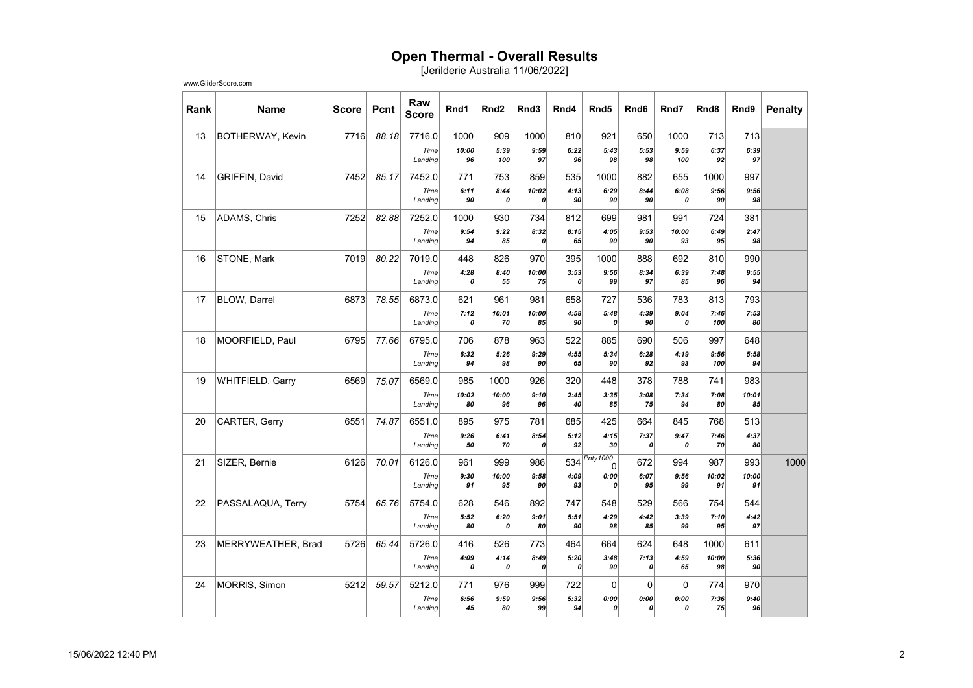## Open Thermal - Overall Results

[Jerilderie Australia 11/06/2022]

| Rank | <b>Name</b>             | <b>Score</b> | Pcnt  | Raw<br><b>Score</b> | Rnd1        | Rnd <sub>2</sub>         | Rnd3         | Rnd4                     | Rnd <sub>5</sub>         | Rnd <sub>6</sub>         | Rnd7        | Rnd <sub>8</sub> | Rnd9        | <b>Penalty</b> |
|------|-------------------------|--------------|-------|---------------------|-------------|--------------------------|--------------|--------------------------|--------------------------|--------------------------|-------------|------------------|-------------|----------------|
| 13   | <b>BOTHERWAY, Kevin</b> | 7716         | 88.18 | 7716.0              | 1000        | 909                      | 1000         | 810                      | 921                      | 650                      | 1000        | 713              | 713         |                |
|      |                         |              |       | Time<br>Landing     | 10:00<br>96 | 5:39<br>100              | 9:59<br>97   | 6:22<br>96               | 5:43<br>98               | 5:53<br>98               | 9:59<br>100 | 6:37<br>92       | 6:39<br>97  |                |
|      |                         |              |       |                     |             |                          |              |                          |                          |                          |             |                  |             |                |
| 14   | GRIFFIN, David          | 7452         | 85.17 | 7452.0<br>Time      | 771<br>6:11 | 753<br>8:44              | 859<br>10:02 | 535<br>4:13              | 1000<br>6:29             | 882<br>8:44              | 655<br>6:08 | 1000<br>9:56     | 997<br>9:56 |                |
|      |                         |              |       | Landing             | 90          | 0                        | 0            | 90                       | 90                       | 90                       | 0           | 90               | 98          |                |
| 15   | ADAMS, Chris            | 7252         | 82.88 | 7252.0              | 1000        | 930                      | 734          | 812                      | 699                      | 981                      | 991         | 724              | 381         |                |
|      |                         |              |       | Time<br>Landing     | 9:54<br>94  | 9:22<br>85               | 8:32<br>0    | 8:15<br>65               | 4:05<br>90               | 9:53<br>90               | 10:00<br>93 | 6:49<br>95       | 2:47<br>98  |                |
| 16   | STONE, Mark             | 7019         | 80.22 | 7019.0              | 448         | 826                      | 970          | 395                      | 1000                     | 888                      | 692         | 810              | 990         |                |
|      |                         |              |       | Time<br>Landing     | 4:28<br>0   | 8:40<br>55               | 10:00<br>75  | 3:53<br>$\boldsymbol{o}$ | 9:56<br>99               | 8:34<br>97               | 6:39<br>85  | 7:48<br>96       | 9:55<br>94  |                |
| 17   | <b>BLOW, Darrel</b>     | 6873         | 78.55 | 6873.0              | 621         | 961                      | 981          | 658                      | 727                      | 536                      | 783         | 813              | 793         |                |
|      |                         |              |       | Time<br>Landing     | 7:12<br>0   | 10:01<br>70              | 10:00<br>85  | 4:58<br>90               | 5:48<br>0                | 4:39<br>90               | 9:04<br>0   | 7:46<br>100      | 7:53<br>80  |                |
| 18   | MOORFIELD, Paul         | 6795         | 77.66 | 6795.0              | 706         | 878                      | 963          | 522                      | 885                      | 690                      | 506         | 997              | 648         |                |
|      |                         |              |       | Time<br>Landing     | 6:32<br>94  | 5:26<br>98               | 9:29<br>90   | 4:55<br>65               | 5:34<br>90               | 6:28<br>92               | 4:19<br>93  | 9:56<br>100      | 5:58<br>94  |                |
| 19   | WHITFIELD, Garry        | 6569         | 75.07 | 6569.0              | 985         | 1000                     | 926          | 320                      | 448                      | 378                      | 788         | 741              | 983         |                |
|      |                         |              |       | Time<br>Landing     | 10:02<br>80 | 10:00<br>96              | 9:10<br>96   | 2:45<br>40               | 3:35<br>85               | 3:08<br>75               | 7:34<br>94  | 7:08<br>80       | 10:01<br>85 |                |
| 20   | CARTER, Gerry           | 6551         | 74.87 | 6551.0              | 895         | 975                      | 781          | 685                      | 425                      | 664                      | 845         | 768              | 513         |                |
|      |                         |              |       | Time                | 9:26        | 6:41                     | 8:54         | 5:12                     | 4:15                     | 7:37                     | 9:47        | 7:46             | 4:37        |                |
|      |                         |              |       | Landing             | 50          | 70                       | 0            | 92                       | 30                       | $\boldsymbol{0}$         | 0           | 70               | 80          |                |
| 21   | SIZER, Bernie           | 6126         | 70.01 | 6126.0              | 961         | 999                      | 986          |                          | 534 <i>Pnty1000</i><br>0 | 672                      | 994         | 987              | 993         | 1000           |
|      |                         |              |       | Time<br>Landing     | 9:30<br>91  | 10:00<br>95              | 9:58<br>90   | 4:09<br>93               | 0:00<br>$\theta$         | 6:07<br>95               | 9:56<br>99  | 10:02<br>91      | 10:00<br>91 |                |
| 22   | PASSALAQUA, Terry       | 5754         | 65.76 | 5754.0              | 628         | 546                      | 892          | 747                      | 548                      | 529                      | 566         | 754              | 544         |                |
|      |                         |              |       | Time<br>Landing     | 5:52<br>80  | 6:20<br>$\mathbf{a}$     | 9:01<br>80   | 5:51<br>90               | 4:29<br>98               | 4:42<br>85               | 3:39<br>99  | 7:10<br>95       | 4:42<br>97  |                |
| 23   | MERRYWEATHER, Brad      | 5726         | 65.44 | 5726.0              | 416         | 526                      | 773          | 464                      | 664                      | 624                      | 648         | 1000             | 611         |                |
|      |                         |              |       | Time<br>Landing     | 4:09<br>0   | 4:14<br>$\boldsymbol{0}$ | 8:49<br>0    | 5:20<br>$\boldsymbol{o}$ | 3:48<br>90               | 7:13<br>$\boldsymbol{0}$ | 4:59<br>65  | 10:00<br>98      | 5:36<br>90  |                |
| 24   | MORRIS, Simon           | 5212         | 59.57 | 5212.0              | 771         | 976                      | 999          | 722                      | $\mathbf 0$              | $\overline{0}$           | 0           | 774              | 970         |                |
|      |                         |              |       | Time<br>Landing     | 6:56<br>45  | 9:59<br>80               | 9:56<br>99   | 5:32<br>94               | 0:00<br>0                | 0:00<br>$\boldsymbol{0}$ | 0:00<br>0   | 7:36<br>75       | 9:40<br>96  |                |